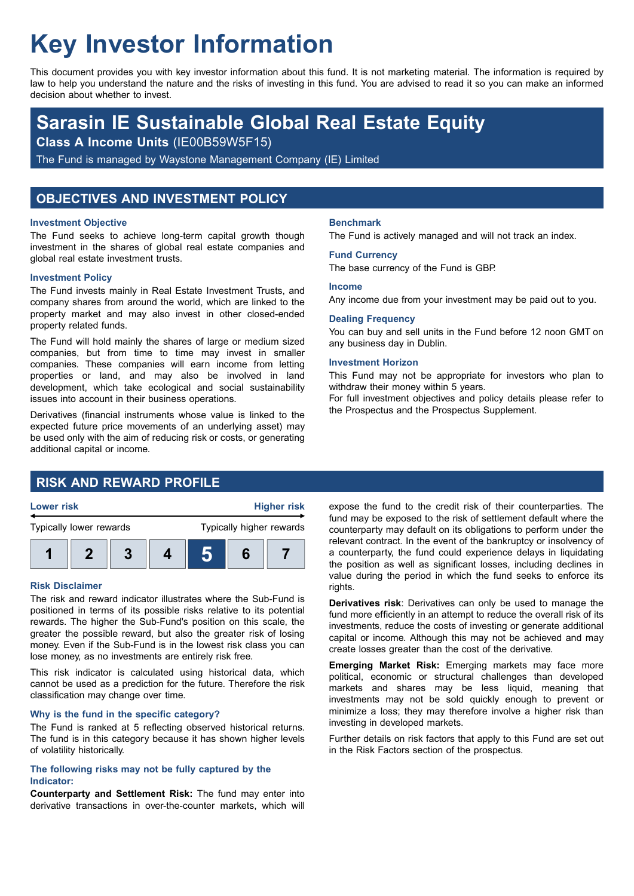# **Key Investor Information**

This document provides you with key investor information about this fund. It is not marketing material. The information is required by law to help you understand the nature and the risks of investing in this fund. You are advised to read it so you can make an informed decision about whether to invest.

## **Sarasin IE Sustainable Global Real Estate Equity**

**Class A Income Units** (IE00B59W5F15)

The Fund is managed by Waystone Management Company (IE) Limited

## **OBJECTIVES AND INVESTMENT POLICY**

#### **Investment Objective**

The Fund seeks to achieve long-term capital growth though investment in the shares of global real estate companies and global real estate investment trusts.

#### **Investment Policy**

The Fund invests mainly in Real Estate Investment Trusts, and company shares from around the world, which are linked to the property market and may also invest in other closed-ended property related funds.

The Fund will hold mainly the shares of large or medium sized companies, but from time to time may invest in smaller companies. These companies will earn income from letting properties or land, and may also be involved in land development, which take ecological and social sustainability issues into account in their business operations.

Derivatives (financial instruments whose value is linked to the expected future price movements of an underlying asset) may be used only with the aim of reducing risk or costs, or generating additional capital or income.

## **RISK AND REWARD PROFILE**



#### **Risk Disclaimer**

The risk and reward indicator illustrates where the Sub-Fund is positioned in terms of its possible risks relative to its potential rewards. The higher the Sub-Fund's position on this scale, the greater the possible reward, but also the greater risk of losing money. Even if the Sub-Fund is in the lowest risk class you can lose money, as no investments are entirely risk free.

This risk indicator is calculated using historical data, which cannot be used as a prediction for the future. Therefore the risk classification may change over time.

#### **Why is the fund in the specific category?**

The Fund is ranked at 5 reflecting observed historical returns. The fund is in this category because it has shown higher levels of volatility historically.

#### **The following risks may not be fully captured by the Indicator:**

**Counterparty and Settlement Risk:** The fund may enter into derivative transactions in over-the-counter markets, which will

#### **Benchmark**

The Fund is actively managed and will not track an index.

#### **Fund Currency**

The base currency of the Fund is GBP.

#### **Income**

Any income due from your investment may be paid out to you.

#### **Dealing Frequency**

You can buy and sell units in the Fund before 12 noon GMT on any business day in Dublin.

#### **Investment Horizon**

This Fund may not be appropriate for investors who plan to withdraw their money within 5 years.

For full investment objectives and policy details please refer to the Prospectus and the Prospectus Supplement.

expose the fund to the credit risk of their counterparties. The fund may be exposed to the risk of settlement default where the counterparty may default on its obligations to perform under the relevant contract. In the event of the bankruptcy or insolvency of a counterparty, the fund could experience delays in liquidating the position as well as significant losses, including declines in value during the period in which the fund seeks to enforce its rights.

**Derivatives risk**: Derivatives can only be used to manage the fund more efficiently in an attempt to reduce the overall risk of its investments, reduce the costs of investing or generate additional capital or income. Although this may not be achieved and may create losses greater than the cost of the derivative.

**Emerging Market Risk:** Emerging markets may face more political, economic or structural challenges than developed markets and shares may be less liquid, meaning that investments may not be sold quickly enough to prevent or minimize a loss; they may therefore involve a higher risk than investing in developed markets.

Further details on risk factors that apply to this Fund are set out in the Risk Factors section of the prospectus.